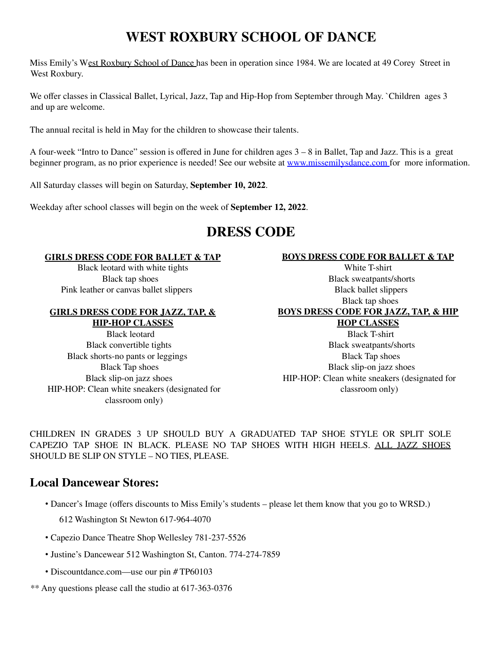## **WEST ROXBURY SCHOOL OF DANCE**

Miss Emily's West Roxbury School of Dance has been in operation since 1984. We are located at 49 Corey Street in West Roxbury.

We offer classes in Classical Ballet, Lyrical, Jazz, Tap and Hip-Hop from September through May. `Children ages 3 and up are welcome.

The annual recital is held in May for the children to showcase their talents.

A four-week "Intro to Dance" session is offered in June for children ages 3 – 8 in Ballet, Tap and Jazz. This is a great beginner program, as no prior experience is needed! See our website at www.missemilysdance.com for more information.

All Saturday classes will begin on Saturday, **September 10, 2022**.

Weekday after school classes will begin on the week of **September 12, 2022**.

### **DRESS CODE**

#### **GIRLS DRESS CODE FOR BALLET & TAP**

Black leotard with white tights Black tap shoes Pink leather or canvas ballet slippers

#### **GIRLS DRESS CODE FOR JAZZ, TAP, &**

**HIP-HOP CLASSES** Black leotard Black convertible tights Black shorts-no pants or leggings Black Tap shoes Black slip-on jazz shoes HIP-HOP: Clean white sneakers (designated for classroom only)

#### **BOYS DRESS CODE FOR BALLET & TAP**

White T-shirt Black sweatpants/shorts Black ballet slippers Black tap shoes **BOYS DRESS CODE FOR JAZZ, TAP, & HIP HOP CLASSES** Black T-shirt

Black sweatpants/shorts Black Tap shoes Black slip-on jazz shoes HIP-HOP: Clean white sneakers (designated for classroom only)

CHILDREN IN GRADES 3 UP SHOULD BUY A GRADUATED TAP SHOE STYLE OR SPLIT SOLE CAPEZIO TAP SHOE IN BLACK. PLEASE NO TAP SHOES WITH HIGH HEELS. ALL JAZZ SHOES SHOULD BE SLIP ON STYLE – NO TIES, PLEASE.

### **Local Dancewear Stores:**

- Dancer's Image (offers discounts to Miss Emily's students please let them know that you go to WRSD.) 612 Washington St Newton 617-964-4070
- Capezio Dance Theatre Shop Wellesley 781-237-5526
- Justine's Dancewear 512 Washington St, Canton. 774-274-7859
- Discountdance.com—use our pin # TP60103
- \*\* Any questions please call the studio at 617-363-0376